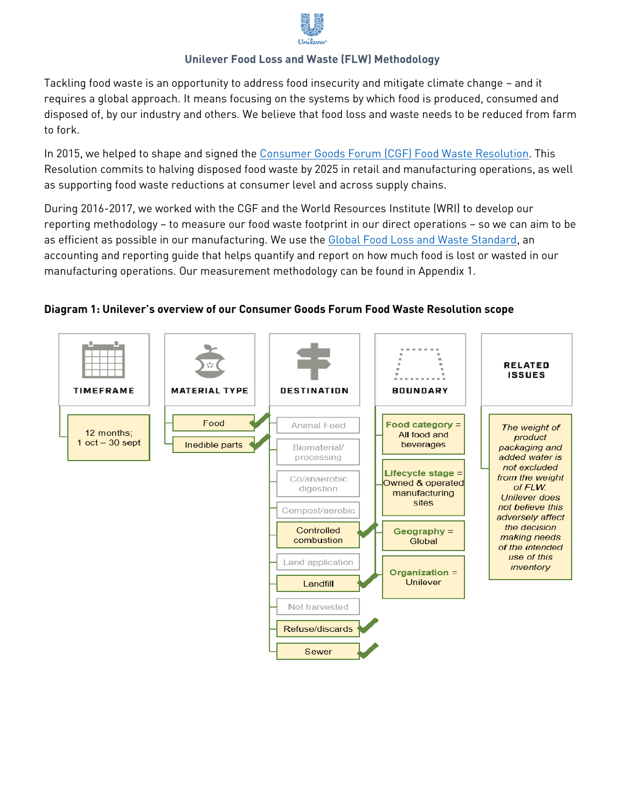

## **Unilever Food Loss and Waste (FLW) Methodology**

Tackling food waste is an opportunity to address food insecurity and mitigate climate change – and it requires a global approach. It means focusing on the systems by which food is produced, consumed and disposed of, by our industry and others. We believe that food loss and waste needs to be reduced from farm to fork.

In 2015, we helped to shape and signed the [Consumer Goods Forum \(CGF\) Food Waste Resolution.](https://www.theconsumergoodsforum.com/press_releases/consumer-goods-industry-commits-to-food-waste-reduction/) This Resolution commits to halving disposed food waste by 2025 in retail and manufacturing operations, as well as supporting food waste reductions at consumer level and across supply chains.

During 2016-2017, we worked with the CGF and the World Resources Institute (WRI) to develop our reporting methodology – to measure our food waste footprint in our direct operations – so we can aim to be as efficient as possible in our manufacturing. We use the Global [Food Loss and Waste Standard,](http://flwprotocol.org/) an accounting and reporting guide that helps quantify and report on how much food is lost or wasted in our manufacturing operations. Our measurement methodology can be found in Appendix 1.

## **Diagram 1: Unilever's overview of our Consumer Goods Forum Food Waste Resolution scope**

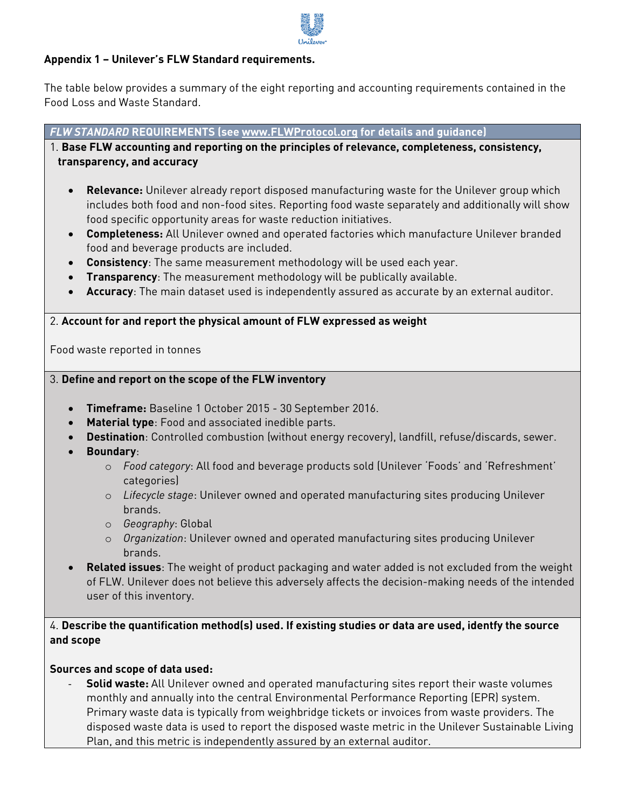

## **Appendix 1 – Unilever's FLW Standard requirements.**

The table below provides a summary of the eight reporting and accounting requirements contained in the Food Loss and Waste Standard.

*FLW STANDARD* **REQUIREMENTS (see [www.FLWProtocol.org](http://www.flwprotocol.org/) for details and guidance)**

1. **Base FLW accounting and reporting on the principles of relevance, completeness, consistency, transparency, and accuracy**

- **Relevance:** Unilever already report disposed manufacturing waste for the Unilever group which includes both food and non-food sites. Reporting food waste separately and additionally will show food specific opportunity areas for waste reduction initiatives.
- **Completeness:** All Unilever owned and operated factories which manufacture Unilever branded food and beverage products are included.
- **Consistency**: The same measurement methodology will be used each year.
- **Transparency**: The measurement methodology will be publically available.
- **Accuracy**: The main dataset used is independently assured as accurate by an external auditor.

#### 2. **Account for and report the physical amount of FLW expressed as weight**

Food waste reported in tonnes

### 3. **Define and report on the scope of the FLW inventory**

- **Timeframe:** Baseline 1 October 2015 30 September 2016.
- **Material type**: Food and associated inedible parts.
- **Destination**: Controlled combustion (without energy recovery), landfill, refuse/discards, sewer.
- **Boundary**:
	- o *Food category*: All food and beverage products sold (Unilever 'Foods' and 'Refreshment' categories)
	- o *Lifecycle stage*: Unilever owned and operated manufacturing sites producing Unilever brands.
	- o *Geography*: Global
	- o *Organization*: Unilever owned and operated manufacturing sites producing Unilever brands.
- **Related issues**: The weight of product packaging and water added is not excluded from the weight of FLW. Unilever does not believe this adversely affects the decision-making needs of the intended user of this inventory.

# 4. **Describe the quantification method(s) used. If existing studies or data are used, identfy the source and scope**

### **Sources and scope of data used:**

**Solid waste:** All Unilever owned and operated manufacturing sites report their waste volumes monthly and annually into the central Environmental Performance Reporting (EPR) system. Primary waste data is typically from weighbridge tickets or invoices from waste providers. The disposed waste data is used to report the disposed waste metric in the Unilever Sustainable Living Plan, and this metric is independently assured by an external auditor.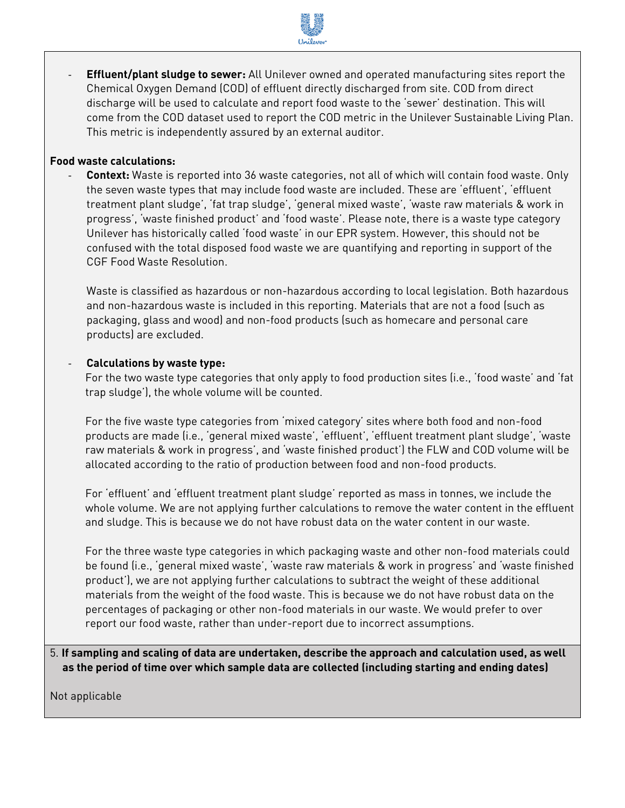

- **Effluent/plant sludge to sewer:** All Unilever owned and operated manufacturing sites report the Chemical Oxygen Demand (COD) of effluent directly discharged from site. COD from direct discharge will be used to calculate and report food waste to the 'sewer' destination. This will come from the COD dataset used to report the COD metric in the Unilever Sustainable Living Plan. This metric is independently assured by an external auditor.

#### **Food waste calculations:**

- **Context:** Waste is reported into 36 waste categories, not all of which will contain food waste. Only the seven waste types that may include food waste are included. These are 'effluent', 'effluent treatment plant sludge', 'fat trap sludge', 'general mixed waste', 'waste raw materials & work in progress', 'waste finished product' and 'food waste'. Please note, there is a waste type category Unilever has historically called 'food waste' in our EPR system. However, this should not be confused with the total disposed food waste we are quantifying and reporting in support of the CGF Food Waste Resolution.

Waste is classified as hazardous or non-hazardous according to local legislation. Both hazardous and non-hazardous waste is included in this reporting. Materials that are not a food (such as packaging, glass and wood) and non-food products (such as homecare and personal care products) are excluded.

#### - **Calculations by waste type:**

For the two waste type categories that only apply to food production sites (i.e., 'food waste' and 'fat trap sludge'), the whole volume will be counted.

For the five waste type categories from 'mixed category' sites where both food and non-food products are made (i.e., 'general mixed waste', 'effluent', 'effluent treatment plant sludge', 'waste raw materials & work in progress', and 'waste finished product') the FLW and COD volume will be allocated according to the ratio of production between food and non-food products.

For 'effluent' and 'effluent treatment plant sludge' reported as mass in tonnes, we include the whole volume. We are not applying further calculations to remove the water content in the effluent and sludge. This is because we do not have robust data on the water content in our waste.

For the three waste type categories in which packaging waste and other non-food materials could be found (i.e., 'general mixed waste', 'waste raw materials & work in progress' and 'waste finished product'), we are not applying further calculations to subtract the weight of these additional materials from the weight of the food waste. This is because we do not have robust data on the percentages of packaging or other non-food materials in our waste. We would prefer to over report our food waste, rather than under-report due to incorrect assumptions.

5. **If sampling and scaling of data are undertaken, describe the approach and calculation used, as well as the period of time over which sample data are collected (including starting and ending dates)**

Not applicable